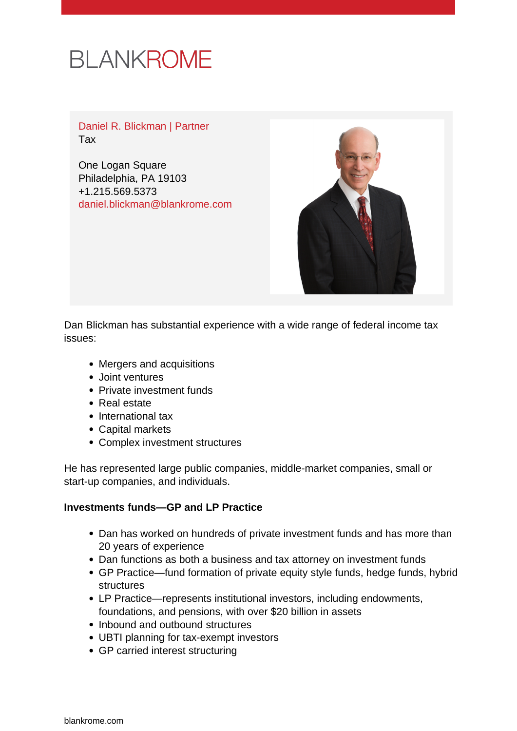# **BLANKROME**

Daniel R. Blickman | Partner Tax

One Logan Square Philadelphia, PA 19103 +1.215.569.5373 [daniel.blickman@blankrome.com](mailto:daniel.blickman@blankrome.com)



Dan Blickman has substantial experience with a wide range of federal income tax issues:

- Mergers and acquisitions
- Joint ventures
- Private investment funds
- Real estate
- International tax
- Capital markets
- Complex investment structures

He has represented large public companies, middle-market companies, small or start-up companies, and individuals.

#### **Investments funds—GP and LP Practice**

- Dan has worked on hundreds of private investment funds and has more than 20 years of experience
- Dan functions as both a business and tax attorney on investment funds
- GP Practice—fund formation of private equity style funds, hedge funds, hybrid structures
- LP Practice—represents institutional investors, including endowments, foundations, and pensions, with over \$20 billion in assets
- Inbound and outbound structures
- UBTI planning for tax-exempt investors
- GP carried interest structuring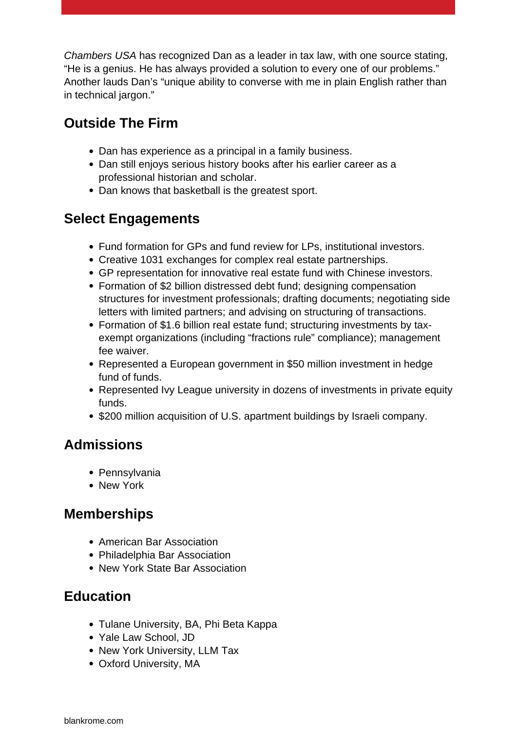Chambers USA has recognized Dan as a leader in tax law, with one source stating, "He is a genius. He has always provided a solution to every one of our problems." Another lauds Dan's "unique ability to converse with me in plain English rather than in technical jargon."

### **Outside The Firm**

- Dan has experience as a principal in a family business.
- Dan still enjoys serious history books after his earlier career as a professional historian and scholar.
- Dan knows that basketball is the greatest sport.

#### **Select Engagements**

- Fund formation for GPs and fund review for LPs, institutional investors.
- Creative 1031 exchanges for complex real estate partnerships.
- GP representation for innovative real estate fund with Chinese investors.
- Formation of \$2 billion distressed debt fund; designing compensation structures for investment professionals; drafting documents; negotiating side letters with limited partners; and advising on structuring of transactions.
- Formation of \$1.6 billion real estate fund; structuring investments by taxexempt organizations (including "fractions rule" compliance); management fee waiver.
- Represented a European government in \$50 million investment in hedge fund of funds.
- Represented Ivy League university in dozens of investments in private equity funds.
- \$200 million acquisition of U.S. apartment buildings by Israeli company.

#### **Admissions**

- Pennsylvania
- New York

#### **Memberships**

- American Bar Association
- Philadelphia Bar Association
- New York State Bar Association

## **Education**

- Tulane University, BA, Phi Beta Kappa
- Yale Law School, JD
- New York University, LLM Tax
- Oxford University, MA